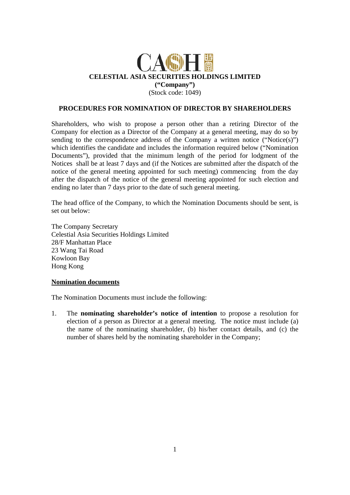

## **PROCEDURES FOR NOMINATION OF DIRECTOR BY SHAREHOLDERS**

Shareholders, who wish to propose a person other than a retiring Director of the Company for election as a Director of the Company at a general meeting, may do so by sending to the correspondence address of the Company a written notice ("Notice(s)") which identifies the candidate and includes the information required below ("Nomination Documents"), provided that the minimum length of the period for lodgment of the Notices shall be at least 7 days and (if the Notices are submitted after the dispatch of the notice of the general meeting appointed for such meeting) commencing from the day after the dispatch of the notice of the general meeting appointed for such election and ending no later than 7 days prior to the date of such general meeting.

The head office of the Company, to which the Nomination Documents should be sent, is set out below:

The Company Secretary Celestial Asia Securities Holdings Limited 28/F Manhattan Place 23 Wang Tai Road Kowloon Bay Hong Kong

## **Nomination documents**

The Nomination Documents must include the following:

1. The **nominating shareholder's notice of intention** to propose a resolution for election of a person as Director at a general meeting. The notice must include (a) the name of the nominating shareholder, (b) his/her contact details, and (c) the number of shares held by the nominating shareholder in the Company;